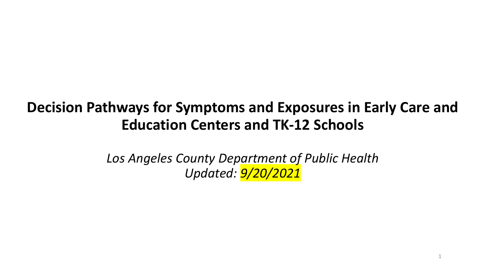# **Decision Pathways for Symptoms and Exposures in Early Care and Education Centers and TK-12 Schools**

*Los Angeles County Department of Public Health Updated: 9/20/2021*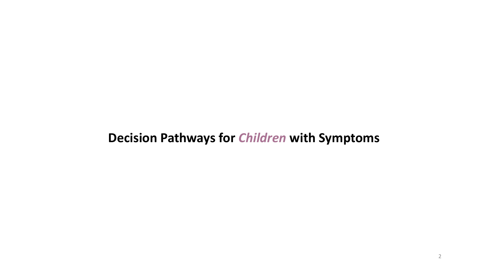# **Decision Pathways for** *Children* **with Symptoms**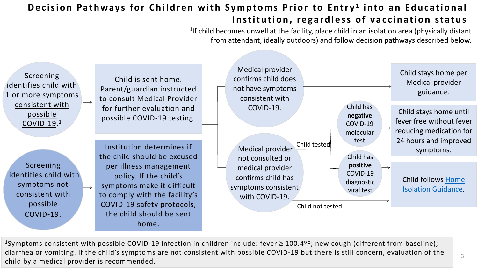## **Decision Pathways for Children with Symptoms Prior Institution, regardle**

<sup>1</sup> If child becomes unwell at the facil from attendant, ideally outdo

Screening identifies child with 1 or more symptoms consistent with possible COVID-19. 1

Screening identifies child with symptoms not consistent with possible COVID-19.

Child is sent home. Parent/guardian instructed to consult Medical Provider for further evaluation and possible COVID-19 testing.

Institution determines if the child should be excused per illness management policy. If the child's symptoms make it difficult to comply with the facility's COVID-19 safety protocols, the child should be sent home.

Medical provider confirms child does not have symptoms consistent with COVID-19.

Medical provider not consulted or medical provider confirms child has symptoms consistent with COVID-19. Chi

Ch

1Symptoms consistent with possible COVID-19 infection in children include: fever  $\geq 100.4$ diarrhea or vomiting. If the child's symptoms are not consistent with possible COVID-19 b child by a medical provider is recommended.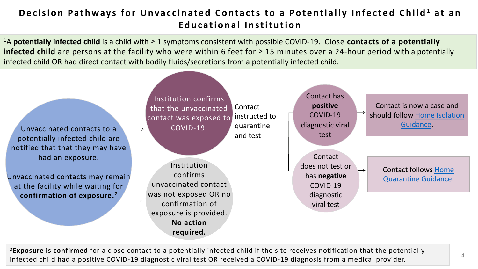## **Decision Pathways for Unvaccinated Contacts to a Pot Educational Institution**

<sup>1</sup>A **potentially infected child** is a child with ≥ 1 symptoms consistent with possible COVID infected child are persons at the facility who were within 6 feet for ≥ 15 minutes infected child OR had direct contact with bodily fluids/secretions from a potentially infer

Unvaccinated contacts to a potentially infected child are notified that that they may have had an exposure.

Unvaccinated contacts may remain at the facility while waiting for **confirmation of exposure.2**

 $\mathsf{d}$ d **Contact** instructed to quarantine and test Institution confirms that the unvaccinated contact was exposed to COVID-19. Institution confirms unvaccinated contact was not exposed OR no confirmation of exposure is provided. **No action required.**

<sup>2</sup>Exposure is confirmed for a close contact to a potentially infected child if the site recei infected child had a positive COVID-19 diagnostic viral test OR received a COVID-19 diag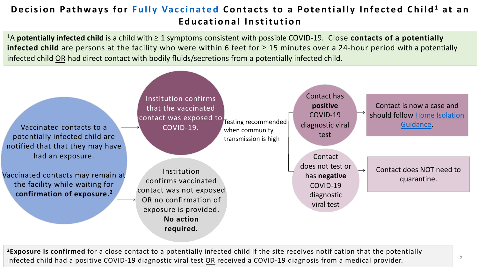## **Decision Pathways for Fully Vaccinated Contacts to a Potentially Educational Institution**

<sup>1</sup>A **potentially infected child** is a child with ≥ 1 symptoms consistent with possible COVI **infected child** are persons at the facility who were within 6 feet for  $\geq 15$  minute infected child OR had direct contact with bodily fluids/secretions from a potentially infe

Vaccinated contacts to a potentially infected child are notified that that they may have had an exposure.

Vaccinated contacts may remain at the facility while waiting for **confirmation of exposure.2**

Institution confirms that the vaccinated contact was exposed to COVID-19.

Testing recommended when community transmission is high

 $\mathsf{d}$ 

d

Institution confirms vaccinated contact was not exposed OR no confirmation of exposure is provided. **No action required.**

<sup>2</sup>Exposure is confirmed for a close contact to a potentially infected child if the site receive infected child had a positive COVID-19 diagnostic viral test OR received a COVID-19 diagr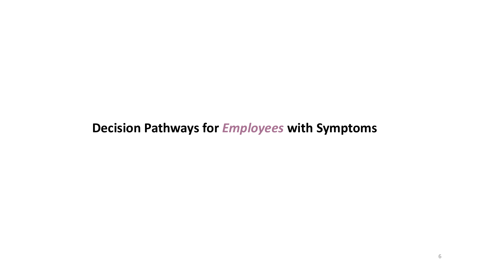# **Decision Pathways for** *Employees* **with Symptoms**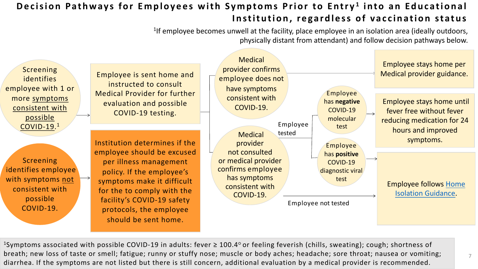## **Decision Pathways for Employees with Symptoms Prior Institution, re**

<sup>1</sup> If employee becomes unwell at the facility, pla physically distant from

Screening identifies employee with 1 or more symptoms consistent with possible COVID-19. 1

Screening identifies employee with symptoms not consistent with possible COVID-19.

Employee is sent home and instructed to consult Medical Provider for further evaluation and possible COVID-19 testing.

Institution determines if the employee should be excused per illness management policy. If the employee's symptoms make it difficult for the to comply with the facility's COVID-19 safety protocols, the employee should be sent home.

Medical provider confirms employee does not have symptoms consistent with COVID-19.

#### Employe tested Medical provider not consulted or medical provider confirms employee has symptoms consistent with COVID-19.

Emple

<sup>1</sup>Symptoms associated with possible COVID-19 in adults: fever  $\geq$  100.4° or feeling feverish breath; new loss of taste or smell; fatigue; runny or stuffy nose; muscle or body aches; he diarrhea. If the symptoms are not listed but there is still concern, additional evaluation by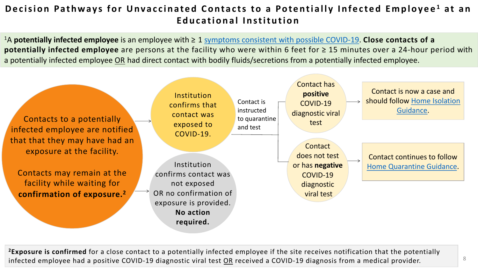## **Decision Pathways for Unvaccinated Contacts to a Potentially** *Decision Pathways for Unvaccinated Contacts* **to a Poten Educational Institution**

<sup>1</sup>A potentially infected employee is an employee with ≥ 1 symptoms consistent with po **potentially infected employee** are persons at the facility who were within 6 feet a potentially infected employee OR had direct contact with bodily fluids/secretions from



<sup>2</sup>Exposure is confirmed for a close contact to a potentially infected employee if the site infected employee had a positive COVID-19 diagnostic viral test OR received a COVID-19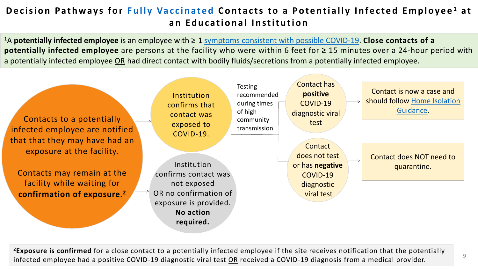## **Decision Pathways for Fully Vaccinated Contacts to a Po an Educational Institution**

<sup>1</sup>A potentially infected employee is an employee with ≥ 1 symptoms consistent with po potentially infected employee are persons at the facility who were within 6 feet a potentially infected employee OR had direct contact with bodily fluids/secretions from

| Contacts to a potentially<br>infected employee are notified<br>that that they may have had an<br>exposure at the facility. | Institution<br>confirms that<br>contact was<br>exposed to<br>COVID-19.                                                         | <b>Testing</b><br>recommended<br>during times<br>of high<br>community<br>transmission | Co<br>diag<br>do |
|----------------------------------------------------------------------------------------------------------------------------|--------------------------------------------------------------------------------------------------------------------------------|---------------------------------------------------------------------------------------|------------------|
| Contacts may remain at the<br>facility while waiting for<br>confirmation of exposure. <sup>2</sup>                         | Institution<br>confirms contact was<br>not exposed<br>OR no confirmation of<br>exposure is provided.<br>No action<br>required. |                                                                                       | or h             |

<sup>2</sup>Exposure is confirmed for a close contact to a potentially infected employee if the site infected employee had a positive COVID-19 diagnostic viral test OR received a COVID-1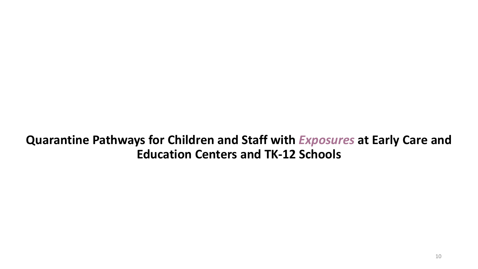**Quarantine Pathways for Children and Staff with** *Exposures* **at Early Care and Education Centers and TK-12 Schools**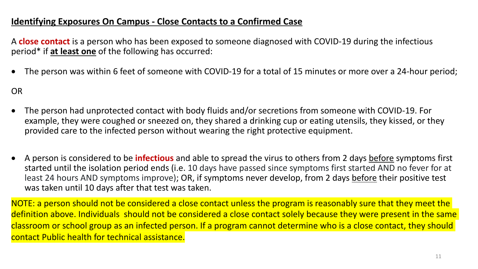### **Identifying Exposures On Campus - Close Contacts to a Confirmed Case**

A **close contact** is a person who has been exposed to someone diagnosed with COVID-19 during the infectious period\* if **at least one** of the following has occurred:

• The person was within 6 feet of someone with COVID-19 for a total of 15 minutes or more over a 24-hour period;

OR

- The person had unprotected contact with body fluids and/or secretions from someone with COVID-19. For example, they were coughed or sneezed on, they shared a drinking cup or eating utensils, they kissed, or they provided care to the infected person without wearing the right protective equipment.
- A person is considered to be **infectious** and able to spread the virus to others from 2 days before symptoms first started until the isolation period ends (i.e. 10 days have passed since symptoms first started AND no fever for at least 24 hours AND symptoms improve); OR, if symptoms never develop, from 2 days before their positive test was taken until 10 days after that test was taken.

NOTE: a person should not be considered a close contact unless the program is reasonably sure that they meet the definition above. Individuals should not be considered a close contact solely because they were present in the same classroom or school group as an infected person. If a program cannot determine who is a close contact, they should contact Public health for technical assistance.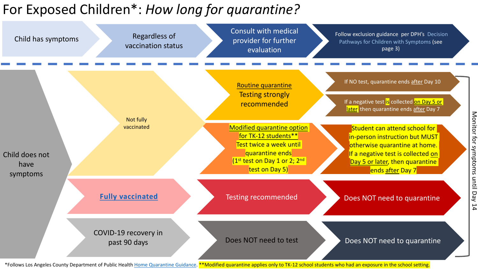# For Exposed Children\*: *How long for quarantine?*



\*Follows Los Angeles County Department of Public Health Home Quarantine Guidance. <sup>\*\*</sup>Modified quarantine applies only to TK-12 scl